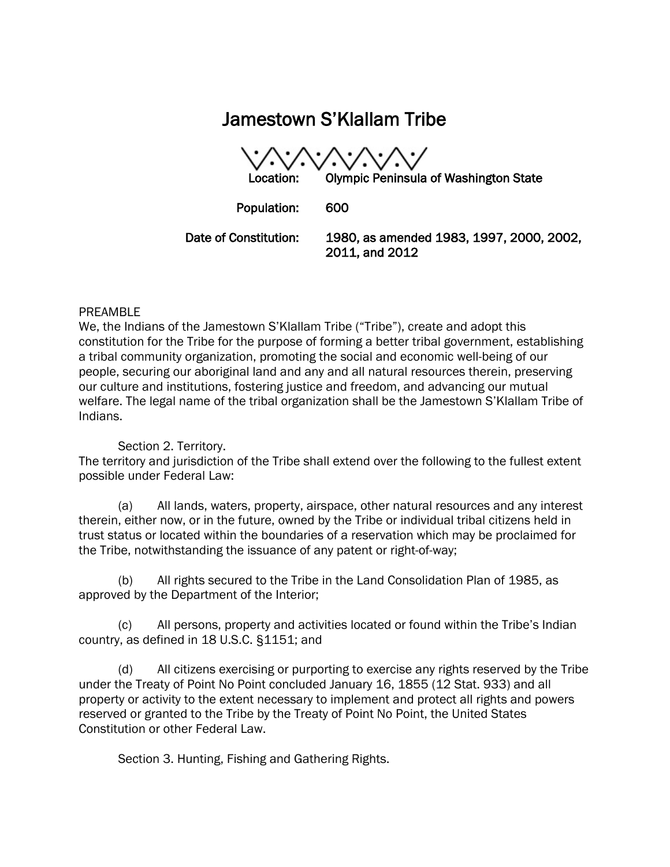# Jamestown S'Klallam Tribe

Location: Olympic Peninsula of Washington State Population: 600 Date of Constitution: 1980, as amended 1983, 1997, 2000, 2002, 2011, and 2012

#### PREAMBLE

We, the Indians of the Jamestown S'Klallam Tribe ("Tribe"), create and adopt this constitution for the Tribe for the purpose of forming a better tribal government, establishing a tribal community organization, promoting the social and economic well-being of our people, securing our aboriginal land and any and all natural resources therein, preserving our culture and institutions, fostering justice and freedom, and advancing our mutual welfare. The legal name of the tribal organization shall be the Jamestown S'Klallam Tribe of Indians.

## Section 2. Territory.

The territory and jurisdiction of the Tribe shall extend over the following to the fullest extent possible under Federal Law:

(a) All lands, waters, property, airspace, other natural resources and any interest therein, either now, or in the future, owned by the Tribe or individual tribal citizens held in trust status or located within the boundaries of a reservation which may be proclaimed for the Tribe, notwithstanding the issuance of any patent or right-of-way;

(b) All rights secured to the Tribe in the Land Consolidation Plan of 1985, as approved by the Department of the Interior;

(c) All persons, property and activities located or found within the Tribe's Indian country, as defined in 18 U.S.C. §1151; and

(d) All citizens exercising or purporting to exercise any rights reserved by the Tribe under the Treaty of Point No Point concluded January 16, 1855 (12 Stat. 933) and all property or activity to the extent necessary to implement and protect all rights and powers reserved or granted to the Tribe by the Treaty of Point No Point, the United States Constitution or other Federal Law.

Section 3. Hunting, Fishing and Gathering Rights.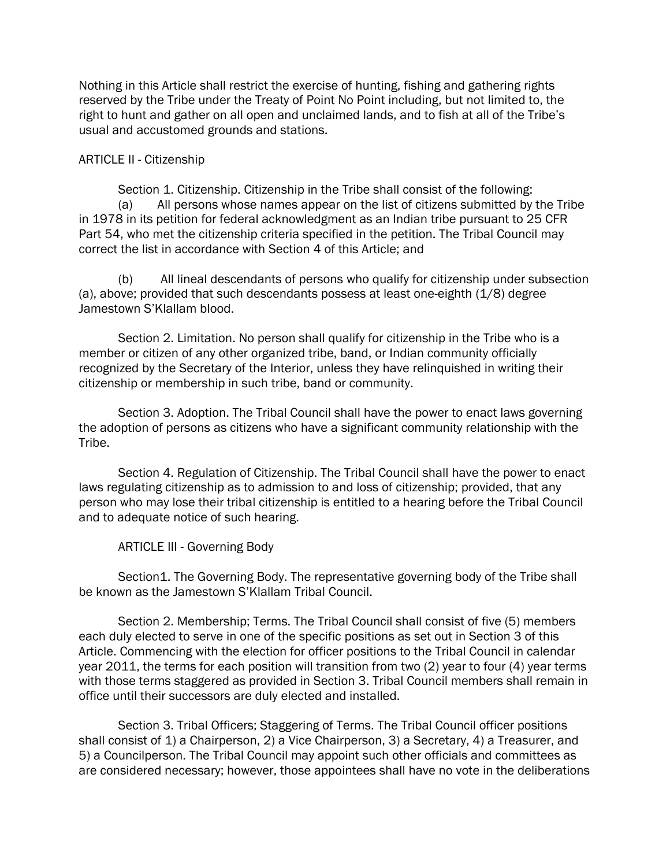Nothing in this Article shall restrict the exercise of hunting, fishing and gathering rights reserved by the Tribe under the Treaty of Point No Point including, but not limited to, the right to hunt and gather on all open and unclaimed lands, and to fish at all of the Tribe's usual and accustomed grounds and stations.

## ARTICLE II - Citizenship

Section 1. Citizenship. Citizenship in the Tribe shall consist of the following: (a) All persons whose names appear on the list of citizens submitted by the Tribe in 1978 in its petition for federal acknowledgment as an Indian tribe pursuant to 25 CFR Part 54, who met the citizenship criteria specified in the petition. The Tribal Council may correct the list in accordance with Section 4 of this Article; and

(b) All lineal descendants of persons who qualify for citizenship under subsection (a), above; provided that such descendants possess at least one-eighth (1/8) degree Jamestown S'Klallam blood.

Section 2. Limitation. No person shall qualify for citizenship in the Tribe who is a member or citizen of any other organized tribe, band, or Indian community officially recognized by the Secretary of the Interior, unless they have relinquished in writing their citizenship or membership in such tribe, band or community.

Section 3. Adoption. The Tribal Council shall have the power to enact laws governing the adoption of persons as citizens who have a significant community relationship with the Tribe.

Section 4. Regulation of Citizenship. The Tribal Council shall have the power to enact laws regulating citizenship as to admission to and loss of citizenship; provided, that any person who may lose their tribal citizenship is entitled to a hearing before the Tribal Council and to adequate notice of such hearing.

ARTICLE III - Governing Body

Section1. The Governing Body. The representative governing body of the Tribe shall be known as the Jamestown S'Klallam Tribal Council.

Section 2. Membership; Terms. The Tribal Council shall consist of five (5) members each duly elected to serve in one of the specific positions as set out in Section 3 of this Article. Commencing with the election for officer positions to the Tribal Council in calendar year 2011, the terms for each position will transition from two (2) year to four (4) year terms with those terms staggered as provided in Section 3. Tribal Council members shall remain in office until their successors are duly elected and installed.

Section 3. Tribal Officers; Staggering of Terms. The Tribal Council officer positions shall consist of 1) a Chairperson, 2) a Vice Chairperson, 3) a Secretary, 4) a Treasurer, and 5) a Councilperson. The Tribal Council may appoint such other officials and committees as are considered necessary; however, those appointees shall have no vote in the deliberations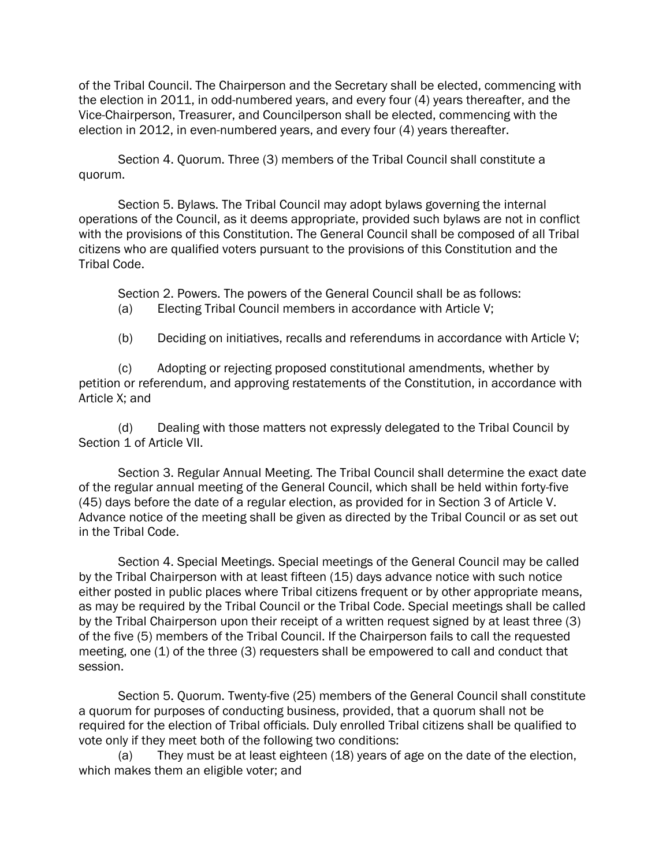of the Tribal Council. The Chairperson and the Secretary shall be elected, commencing with the election in 2011, in odd-numbered years, and every four (4) years thereafter, and the Vice-Chairperson, Treasurer, and Councilperson shall be elected, commencing with the election in 2012, in even-numbered years, and every four (4) years thereafter.

Section 4. Quorum. Three (3) members of the Tribal Council shall constitute a quorum.

Section 5. Bylaws. The Tribal Council may adopt bylaws governing the internal operations of the Council, as it deems appropriate, provided such bylaws are not in conflict with the provisions of this Constitution. The General Council shall be composed of all Tribal citizens who are qualified voters pursuant to the provisions of this Constitution and the Tribal Code.

Section 2. Powers. The powers of the General Council shall be as follows: (a) Electing Tribal Council members in accordance with Article V;

(b) Deciding on initiatives, recalls and referendums in accordance with Article V;

(c) Adopting or rejecting proposed constitutional amendments, whether by petition or referendum, and approving restatements of the Constitution, in accordance with Article X; and

(d) Dealing with those matters not expressly delegated to the Tribal Council by Section 1 of Article VII.

Section 3. Regular Annual Meeting. The Tribal Council shall determine the exact date of the regular annual meeting of the General Council, which shall be held within forty-five (45) days before the date of a regular election, as provided for in Section 3 of Article V. Advance notice of the meeting shall be given as directed by the Tribal Council or as set out in the Tribal Code.

Section 4. Special Meetings. Special meetings of the General Council may be called by the Tribal Chairperson with at least fifteen (15) days advance notice with such notice either posted in public places where Tribal citizens frequent or by other appropriate means, as may be required by the Tribal Council or the Tribal Code. Special meetings shall be called by the Tribal Chairperson upon their receipt of a written request signed by at least three (3) of the five (5) members of the Tribal Council. If the Chairperson fails to call the requested meeting, one (1) of the three (3) requesters shall be empowered to call and conduct that session.

Section 5. Quorum. Twenty-five (25) members of the General Council shall constitute a quorum for purposes of conducting business, provided, that a quorum shall not be required for the election of Tribal officials. Duly enrolled Tribal citizens shall be qualified to vote only if they meet both of the following two conditions:

(a) They must be at least eighteen (18) years of age on the date of the election, which makes them an eligible voter; and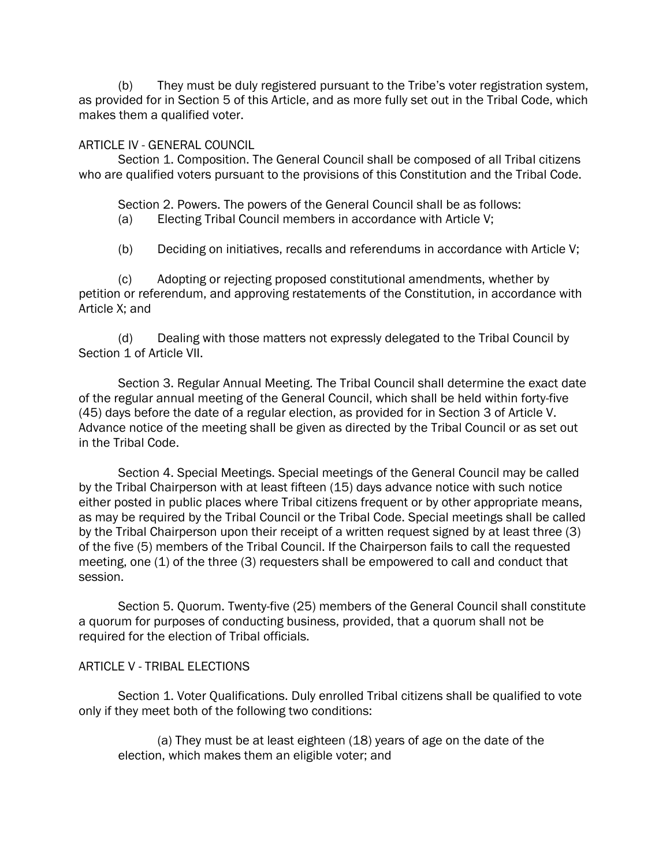(b) They must be duly registered pursuant to the Tribe's voter registration system, as provided for in Section 5 of this Article, and as more fully set out in the Tribal Code, which makes them a qualified voter.

## ARTICLE IV - GENERAL COUNCIL

Section 1. Composition. The General Council shall be composed of all Tribal citizens who are qualified voters pursuant to the provisions of this Constitution and the Tribal Code.

Section 2. Powers. The powers of the General Council shall be as follows:

(a) Electing Tribal Council members in accordance with Article V;

(b) Deciding on initiatives, recalls and referendums in accordance with Article V;

(c) Adopting or rejecting proposed constitutional amendments, whether by petition or referendum, and approving restatements of the Constitution, in accordance with Article X; and

(d) Dealing with those matters not expressly delegated to the Tribal Council by Section 1 of Article VII.

Section 3. Regular Annual Meeting. The Tribal Council shall determine the exact date of the regular annual meeting of the General Council, which shall be held within forty-five (45) days before the date of a regular election, as provided for in Section 3 of Article V. Advance notice of the meeting shall be given as directed by the Tribal Council or as set out in the Tribal Code.

Section 4. Special Meetings. Special meetings of the General Council may be called by the Tribal Chairperson with at least fifteen (15) days advance notice with such notice either posted in public places where Tribal citizens frequent or by other appropriate means, as may be required by the Tribal Council or the Tribal Code. Special meetings shall be called by the Tribal Chairperson upon their receipt of a written request signed by at least three (3) of the five (5) members of the Tribal Council. If the Chairperson fails to call the requested meeting, one (1) of the three (3) requesters shall be empowered to call and conduct that session.

Section 5. Quorum. Twenty-five (25) members of the General Council shall constitute a quorum for purposes of conducting business, provided, that a quorum shall not be required for the election of Tribal officials.

## ARTICLE V - TRIBAL ELECTIONS

Section 1. Voter Qualifications. Duly enrolled Tribal citizens shall be qualified to vote only if they meet both of the following two conditions:

(a) They must be at least eighteen (18) years of age on the date of the election, which makes them an eligible voter; and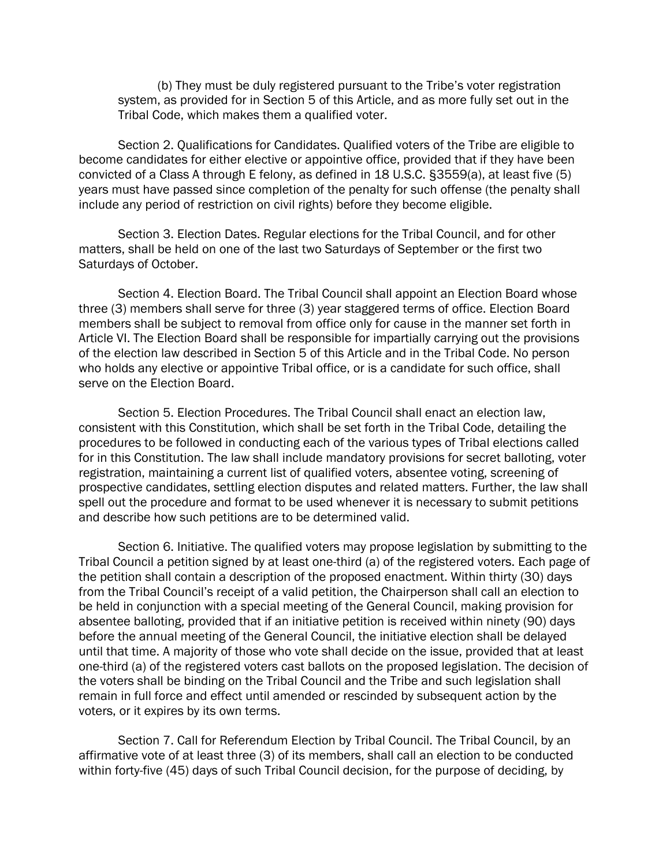(b) They must be duly registered pursuant to the Tribe's voter registration system, as provided for in Section 5 of this Article, and as more fully set out in the Tribal Code, which makes them a qualified voter.

Section 2. Qualifications for Candidates. Qualified voters of the Tribe are eligible to become candidates for either elective or appointive office, provided that if they have been convicted of a Class A through E felony, as defined in 18 U.S.C. §3559(a), at least five (5) years must have passed since completion of the penalty for such offense (the penalty shall include any period of restriction on civil rights) before they become eligible.

Section 3. Election Dates. Regular elections for the Tribal Council, and for other matters, shall be held on one of the last two Saturdays of September or the first two Saturdays of October.

Section 4. Election Board. The Tribal Council shall appoint an Election Board whose three (3) members shall serve for three (3) year staggered terms of office. Election Board members shall be subject to removal from office only for cause in the manner set forth in Article VI. The Election Board shall be responsible for impartially carrying out the provisions of the election law described in Section 5 of this Article and in the Tribal Code. No person who holds any elective or appointive Tribal office, or is a candidate for such office, shall serve on the Election Board.

Section 5. Election Procedures. The Tribal Council shall enact an election law, consistent with this Constitution, which shall be set forth in the Tribal Code, detailing the procedures to be followed in conducting each of the various types of Tribal elections called for in this Constitution. The law shall include mandatory provisions for secret balloting, voter registration, maintaining a current list of qualified voters, absentee voting, screening of prospective candidates, settling election disputes and related matters. Further, the law shall spell out the procedure and format to be used whenever it is necessary to submit petitions and describe how such petitions are to be determined valid.

Section 6. Initiative. The qualified voters may propose legislation by submitting to the Tribal Council a petition signed by at least one-third (a) of the registered voters. Each page of the petition shall contain a description of the proposed enactment. Within thirty (30) days from the Tribal Council's receipt of a valid petition, the Chairperson shall call an election to be held in conjunction with a special meeting of the General Council, making provision for absentee balloting, provided that if an initiative petition is received within ninety (90) days before the annual meeting of the General Council, the initiative election shall be delayed until that time. A majority of those who vote shall decide on the issue, provided that at least one-third (a) of the registered voters cast ballots on the proposed legislation. The decision of the voters shall be binding on the Tribal Council and the Tribe and such legislation shall remain in full force and effect until amended or rescinded by subsequent action by the voters, or it expires by its own terms.

Section 7. Call for Referendum Election by Tribal Council. The Tribal Council, by an affirmative vote of at least three (3) of its members, shall call an election to be conducted within forty-five (45) days of such Tribal Council decision, for the purpose of deciding, by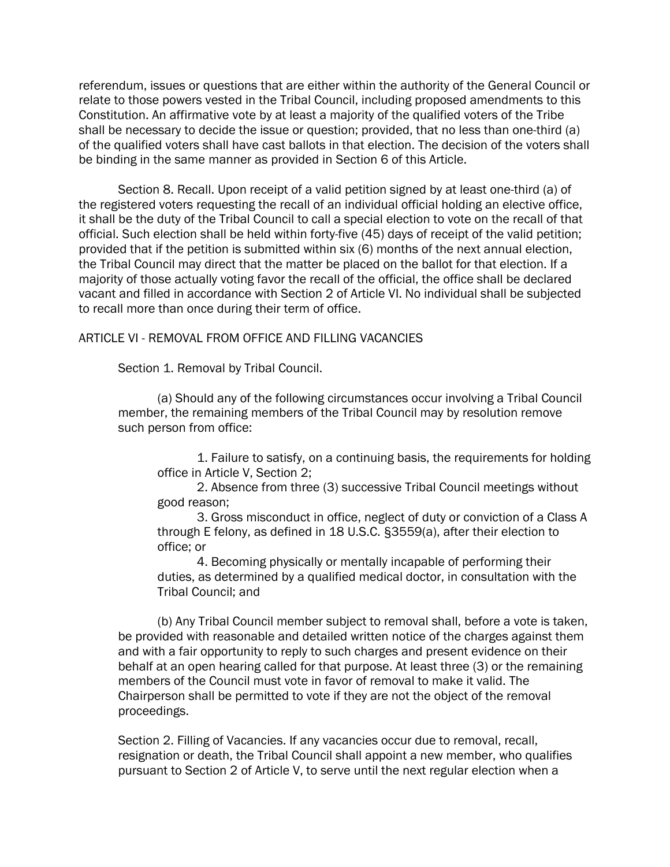referendum, issues or questions that are either within the authority of the General Council or relate to those powers vested in the Tribal Council, including proposed amendments to this Constitution. An affirmative vote by at least a majority of the qualified voters of the Tribe shall be necessary to decide the issue or question; provided, that no less than one-third (a) of the qualified voters shall have cast ballots in that election. The decision of the voters shall be binding in the same manner as provided in Section 6 of this Article.

Section 8. Recall. Upon receipt of a valid petition signed by at least one-third (a) of the registered voters requesting the recall of an individual official holding an elective office, it shall be the duty of the Tribal Council to call a special election to vote on the recall of that official. Such election shall be held within forty-five (45) days of receipt of the valid petition; provided that if the petition is submitted within six (6) months of the next annual election, the Tribal Council may direct that the matter be placed on the ballot for that election. If a majority of those actually voting favor the recall of the official, the office shall be declared vacant and filled in accordance with Section 2 of Article VI. No individual shall be subjected to recall more than once during their term of office.

# ARTICLE VI - REMOVAL FROM OFFICE AND FILLING VACANCIES

Section 1. Removal by Tribal Council.

(a) Should any of the following circumstances occur involving a Tribal Council member, the remaining members of the Tribal Council may by resolution remove such person from office:

1. Failure to satisfy, on a continuing basis, the requirements for holding office in Article V, Section 2;

2. Absence from three (3) successive Tribal Council meetings without good reason;

3. Gross misconduct in office, neglect of duty or conviction of a Class A through E felony, as defined in 18 U.S.C. §3559(a), after their election to office; or

4. Becoming physically or mentally incapable of performing their duties, as determined by a qualified medical doctor, in consultation with the Tribal Council; and

(b) Any Tribal Council member subject to removal shall, before a vote is taken, be provided with reasonable and detailed written notice of the charges against them and with a fair opportunity to reply to such charges and present evidence on their behalf at an open hearing called for that purpose. At least three (3) or the remaining members of the Council must vote in favor of removal to make it valid. The Chairperson shall be permitted to vote if they are not the object of the removal proceedings.

Section 2. Filling of Vacancies. If any vacancies occur due to removal, recall, resignation or death, the Tribal Council shall appoint a new member, who qualifies pursuant to Section 2 of Article V, to serve until the next regular election when a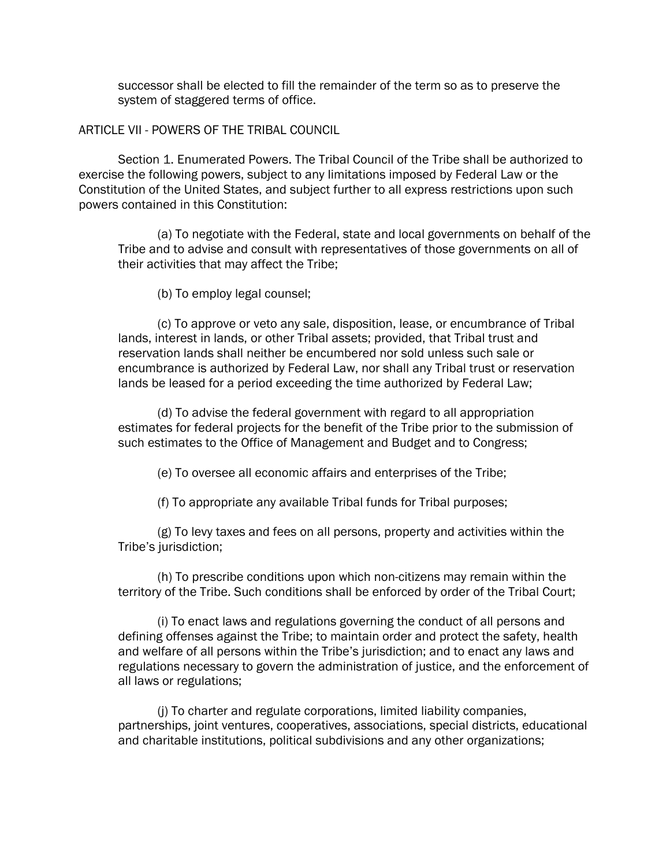successor shall be elected to fill the remainder of the term so as to preserve the system of staggered terms of office.

#### ARTICLE VII - POWERS OF THE TRIBAL COUNCIL

Section 1. Enumerated Powers. The Tribal Council of the Tribe shall be authorized to exercise the following powers, subject to any limitations imposed by Federal Law or the Constitution of the United States, and subject further to all express restrictions upon such powers contained in this Constitution:

(a) To negotiate with the Federal, state and local governments on behalf of the Tribe and to advise and consult with representatives of those governments on all of their activities that may affect the Tribe;

(b) To employ legal counsel;

(c) To approve or veto any sale, disposition, lease, or encumbrance of Tribal lands, interest in lands, or other Tribal assets; provided, that Tribal trust and reservation lands shall neither be encumbered nor sold unless such sale or encumbrance is authorized by Federal Law, nor shall any Tribal trust or reservation lands be leased for a period exceeding the time authorized by Federal Law;

(d) To advise the federal government with regard to all appropriation estimates for federal projects for the benefit of the Tribe prior to the submission of such estimates to the Office of Management and Budget and to Congress;

(e) To oversee all economic affairs and enterprises of the Tribe;

(f) To appropriate any available Tribal funds for Tribal purposes;

(g) To levy taxes and fees on all persons, property and activities within the Tribe's jurisdiction;

(h) To prescribe conditions upon which non-citizens may remain within the territory of the Tribe. Such conditions shall be enforced by order of the Tribal Court;

(i) To enact laws and regulations governing the conduct of all persons and defining offenses against the Tribe; to maintain order and protect the safety, health and welfare of all persons within the Tribe's jurisdiction; and to enact any laws and regulations necessary to govern the administration of justice, and the enforcement of all laws or regulations;

(j) To charter and regulate corporations, limited liability companies, partnerships, joint ventures, cooperatives, associations, special districts, educational and charitable institutions, political subdivisions and any other organizations;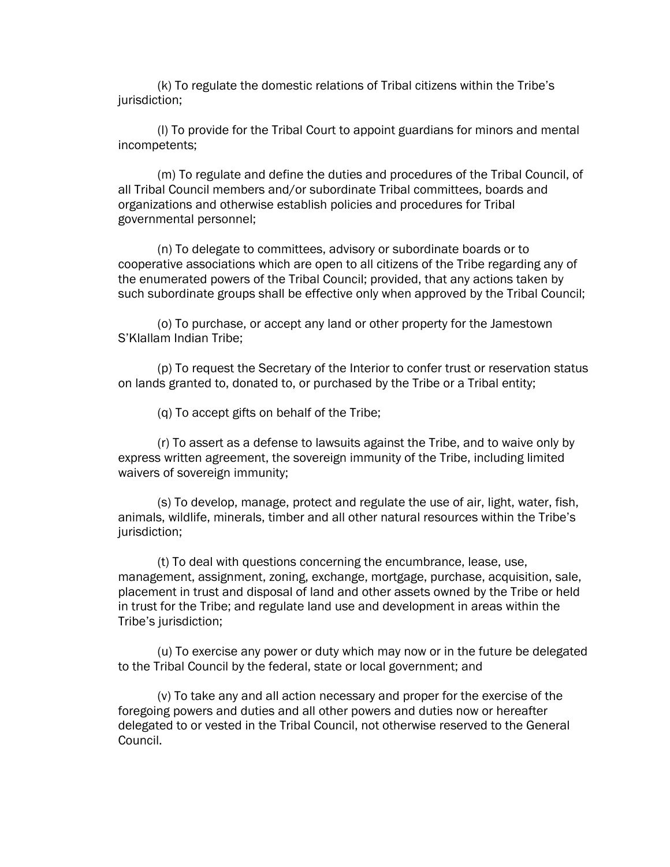(k) To regulate the domestic relations of Tribal citizens within the Tribe's jurisdiction;

(l) To provide for the Tribal Court to appoint guardians for minors and mental incompetents;

(m) To regulate and define the duties and procedures of the Tribal Council, of all Tribal Council members and/or subordinate Tribal committees, boards and organizations and otherwise establish policies and procedures for Tribal governmental personnel;

(n) To delegate to committees, advisory or subordinate boards or to cooperative associations which are open to all citizens of the Tribe regarding any of the enumerated powers of the Tribal Council; provided, that any actions taken by such subordinate groups shall be effective only when approved by the Tribal Council;

(o) To purchase, or accept any land or other property for the Jamestown S'Klallam Indian Tribe;

(p) To request the Secretary of the Interior to confer trust or reservation status on lands granted to, donated to, or purchased by the Tribe or a Tribal entity;

(q) To accept gifts on behalf of the Tribe;

(r) To assert as a defense to lawsuits against the Tribe, and to waive only by express written agreement, the sovereign immunity of the Tribe, including limited waivers of sovereign immunity;

(s) To develop, manage, protect and regulate the use of air, light, water, fish, animals, wildlife, minerals, timber and all other natural resources within the Tribe's jurisdiction;

(t) To deal with questions concerning the encumbrance, lease, use, management, assignment, zoning, exchange, mortgage, purchase, acquisition, sale, placement in trust and disposal of land and other assets owned by the Tribe or held in trust for the Tribe; and regulate land use and development in areas within the Tribe's jurisdiction;

(u) To exercise any power or duty which may now or in the future be delegated to the Tribal Council by the federal, state or local government; and

(v) To take any and all action necessary and proper for the exercise of the foregoing powers and duties and all other powers and duties now or hereafter delegated to or vested in the Tribal Council, not otherwise reserved to the General Council.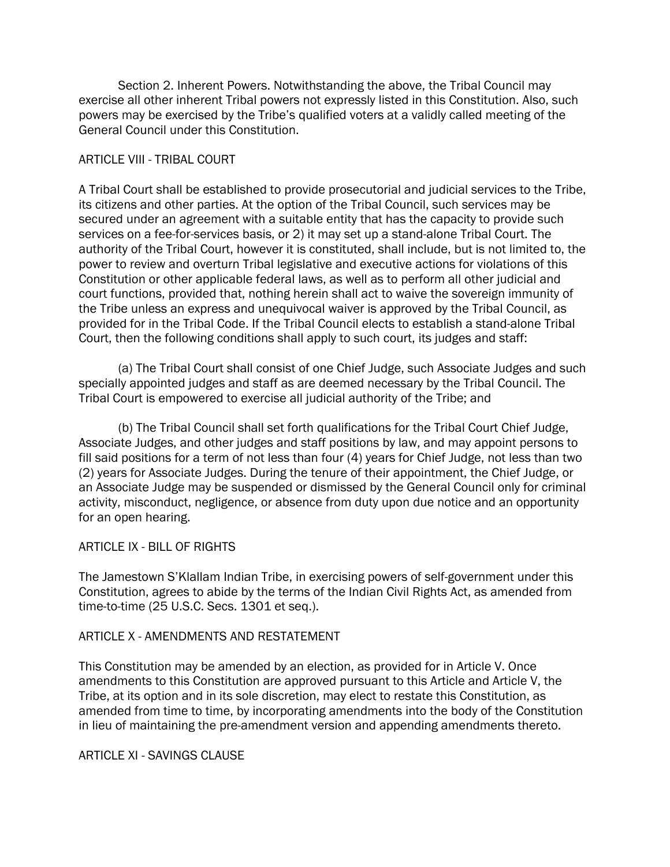Section 2. Inherent Powers. Notwithstanding the above, the Tribal Council may exercise all other inherent Tribal powers not expressly listed in this Constitution. Also, such powers may be exercised by the Tribe's qualified voters at a validly called meeting of the General Council under this Constitution.

# ARTICLE VIII - TRIBAL COURT

A Tribal Court shall be established to provide prosecutorial and judicial services to the Tribe, its citizens and other parties. At the option of the Tribal Council, such services may be secured under an agreement with a suitable entity that has the capacity to provide such services on a fee-for-services basis, or 2) it may set up a stand-alone Tribal Court. The authority of the Tribal Court, however it is constituted, shall include, but is not limited to, the power to review and overturn Tribal legislative and executive actions for violations of this Constitution or other applicable federal laws, as well as to perform all other judicial and court functions, provided that, nothing herein shall act to waive the sovereign immunity of the Tribe unless an express and unequivocal waiver is approved by the Tribal Council, as provided for in the Tribal Code. If the Tribal Council elects to establish a stand-alone Tribal Court, then the following conditions shall apply to such court, its judges and staff:

(a) The Tribal Court shall consist of one Chief Judge, such Associate Judges and such specially appointed judges and staff as are deemed necessary by the Tribal Council. The Tribal Court is empowered to exercise all judicial authority of the Tribe; and

(b) The Tribal Council shall set forth qualifications for the Tribal Court Chief Judge, Associate Judges, and other judges and staff positions by law, and may appoint persons to fill said positions for a term of not less than four (4) years for Chief Judge, not less than two (2) years for Associate Judges. During the tenure of their appointment, the Chief Judge, or an Associate Judge may be suspended or dismissed by the General Council only for criminal activity, misconduct, negligence, or absence from duty upon due notice and an opportunity for an open hearing.

## ARTICLE IX - BILL OF RIGHTS

The Jamestown S'Klallam Indian Tribe, in exercising powers of self-government under this Constitution, agrees to abide by the terms of the Indian Civil Rights Act, as amended from time-to-time (25 U.S.C. Secs. 1301 et seq.).

## ARTICLE X - AMENDMENTS AND RESTATEMENT

This Constitution may be amended by an election, as provided for in Article V. Once amendments to this Constitution are approved pursuant to this Article and Article V, the Tribe, at its option and in its sole discretion, may elect to restate this Constitution, as amended from time to time, by incorporating amendments into the body of the Constitution in lieu of maintaining the pre-amendment version and appending amendments thereto.

## ARTICLE XI - SAVINGS CLAUSE